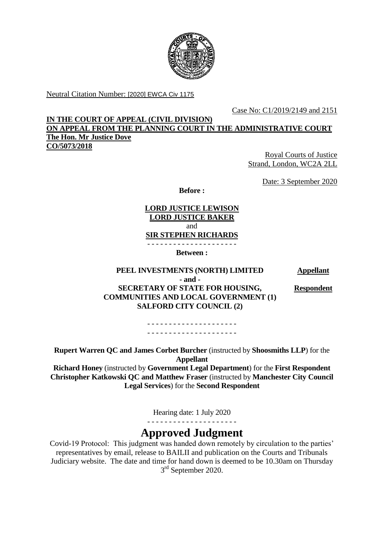

Neutral Citation Number: [2020] EWCA Civ 1175

Case No: C1/2019/2149 and 2151

**IN THE COURT OF APPEAL (CIVIL DIVISION) ON APPEAL FROM THE PLANNING COURT IN THE ADMINISTRATIVE COURT The Hon. Mr Justice Dove CO/5073/2018**

> Royal Courts of Justice Strand, London, WC2A 2LL

> > Date: 3 September 2020

**Before :**

**LORD JUSTICE LEWISON LORD JUSTICE BAKER** and **SIR STEPHEN RICHARDS** - - - - - - - - - - - - - - - - - - - - -

**Between :**

**PEEL INVESTMENTS (NORTH) LIMITED Appellant - and - SECRETARY OF STATE FOR HOUSING, COMMUNITIES AND LOCAL GOVERNMENT (1) SALFORD CITY COUNCIL (2)**

**Respondent**

- - - - - - - - - - - - - - - - - - - - - . <u>- - - - - - - - - - - - - - - - -</u> - .

**Rupert Warren QC and James Corbet Burcher** (instructed by **Shoosmiths LLP**) for the **Appellant**

**Richard Honey** (instructed by **Government Legal Department**) for the **First Respondent Christopher Katkowski QC and Matthew Fraser** (instructed by **Manchester City Council Legal Services**) for the **Second Respondent**

Hearing date: 1 July 2020

- - - - - - - - - - - - - - - - - - - - -

# **Approved Judgment**

Covid-19 Protocol: This judgment was handed down remotely by circulation to the parties' representatives by email, release to BAILII and publication on the Courts and Tribunals Judiciary website. The date and time for hand down is deemed to be 10.30am on Thursday 3<sup>rd</sup> September 2020.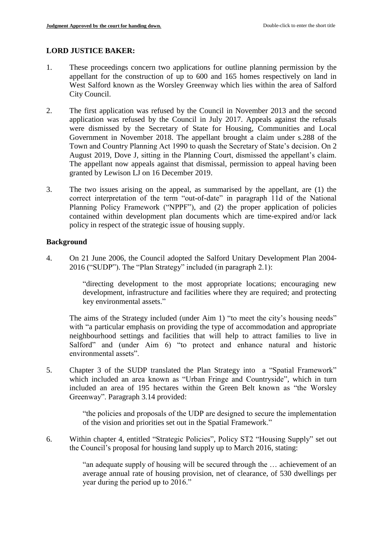# **LORD JUSTICE BAKER:**

- 1. These proceedings concern two applications for outline planning permission by the appellant for the construction of up to 600 and 165 homes respectively on land in West Salford known as the Worsley Greenway which lies within the area of Salford City Council.
- 2. The first application was refused by the Council in November 2013 and the second application was refused by the Council in July 2017. Appeals against the refusals were dismissed by the Secretary of State for Housing, Communities and Local Government in November 2018. The appellant brought a claim under s.288 of the Town and Country Planning Act 1990 to quash the Secretary of State's decision. On 2 August 2019, Dove J, sitting in the Planning Court, dismissed the appellant's claim. The appellant now appeals against that dismissal, permission to appeal having been granted by Lewison LJ on 16 December 2019.
- 3. The two issues arising on the appeal, as summarised by the appellant, are (1) the correct interpretation of the term "out-of-date" in paragraph 11d of the National Planning Policy Framework ("NPPF"), and (2) the proper application of policies contained within development plan documents which are time-expired and/or lack policy in respect of the strategic issue of housing supply.

# **Background**

4. On 21 June 2006, the Council adopted the Salford Unitary Development Plan 2004- 2016 ("SUDP"). The "Plan Strategy" included (in paragraph 2.1):

> "directing development to the most appropriate locations; encouraging new development, infrastructure and facilities where they are required; and protecting key environmental assets."

The aims of the Strategy included (under Aim 1) "to meet the city's housing needs" with "a particular emphasis on providing the type of accommodation and appropriate neighbourhood settings and facilities that will help to attract families to live in Salford" and (under Aim 6) "to protect and enhance natural and historic environmental assets".

5. Chapter 3 of the SUDP translated the Plan Strategy into a "Spatial Framework" which included an area known as "Urban Fringe and Countryside", which in turn included an area of 195 hectares within the Green Belt known as "the Worsley Greenway". Paragraph 3.14 provided:

> "the policies and proposals of the UDP are designed to secure the implementation of the vision and priorities set out in the Spatial Framework."

6. Within chapter 4, entitled "Strategic Policies", Policy ST2 "Housing Supply" set out the Council's proposal for housing land supply up to March 2016, stating:

> "an adequate supply of housing will be secured through the … achievement of an average annual rate of housing provision, net of clearance, of 530 dwellings per year during the period up to 2016."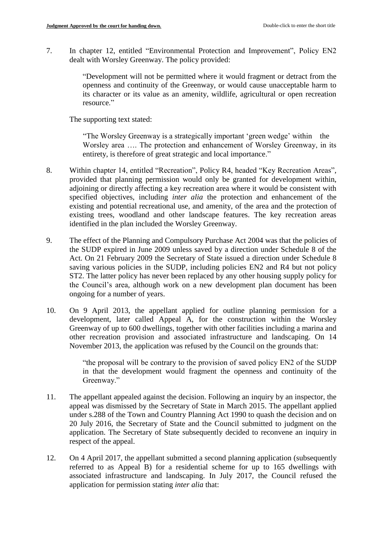7. In chapter 12, entitled "Environmental Protection and Improvement", Policy EN2 dealt with Worsley Greenway. The policy provided:

> "Development will not be permitted where it would fragment or detract from the openness and continuity of the Greenway, or would cause unacceptable harm to its character or its value as an amenity, wildlife, agricultural or open recreation resource."

The supporting text stated:

"The Worsley Greenway is a strategically important 'green wedge' within the Worsley area …. The protection and enhancement of Worsley Greenway, in its entirety, is therefore of great strategic and local importance."

- 8. Within chapter 14, entitled "Recreation", Policy R4, headed "Key Recreation Areas", provided that planning permission would only be granted for development within, adjoining or directly affecting a key recreation area where it would be consistent with specified objectives, including *inter alia* the protection and enhancement of the existing and potential recreational use, and amenity, of the area and the protection of existing trees, woodland and other landscape features. The key recreation areas identified in the plan included the Worsley Greenway.
- 9. The effect of the Planning and Compulsory Purchase Act 2004 was that the policies of the SUDP expired in June 2009 unless saved by a direction under Schedule 8 of the Act. On 21 February 2009 the Secretary of State issued a direction under Schedule 8 saving various policies in the SUDP, including policies EN2 and R4 but not policy ST2. The latter policy has never been replaced by any other housing supply policy for the Council's area, although work on a new development plan document has been ongoing for a number of years.
- 10. On 9 April 2013, the appellant applied for outline planning permission for a development, later called Appeal A, for the construction within the Worsley Greenway of up to 600 dwellings, together with other facilities including a marina and other recreation provision and associated infrastructure and landscaping. On 14 November 2013, the application was refused by the Council on the grounds that:

"the proposal will be contrary to the provision of saved policy EN2 of the SUDP in that the development would fragment the openness and continuity of the Greenway."

- 11. The appellant appealed against the decision. Following an inquiry by an inspector, the appeal was dismissed by the Secretary of State in March 2015. The appellant applied under s.288 of the Town and Country Planning Act 1990 to quash the decision and on 20 July 2016, the Secretary of State and the Council submitted to judgment on the application. The Secretary of State subsequently decided to reconvene an inquiry in respect of the appeal.
- 12. On 4 April 2017, the appellant submitted a second planning application (subsequently referred to as Appeal B) for a residential scheme for up to 165 dwellings with associated infrastructure and landscaping. In July 2017, the Council refused the application for permission stating *inter alia* that: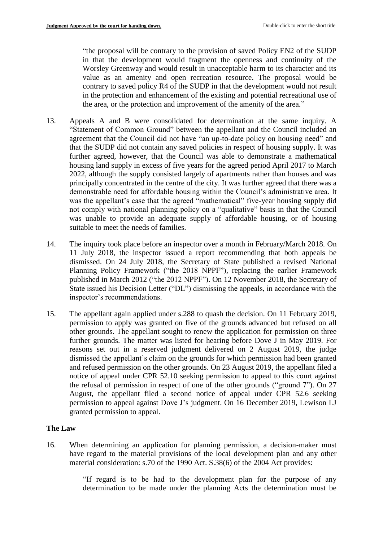"the proposal will be contrary to the provision of saved Policy EN2 of the SUDP in that the development would fragment the openness and continuity of the Worsley Greenway and would result in unacceptable harm to its character and its value as an amenity and open recreation resource. The proposal would be contrary to saved policy R4 of the SUDP in that the development would not result in the protection and enhancement of the existing and potential recreational use of the area, or the protection and improvement of the amenity of the area."

- 13. Appeals A and B were consolidated for determination at the same inquiry. A "Statement of Common Ground" between the appellant and the Council included an agreement that the Council did not have "an up-to-date policy on housing need" and that the SUDP did not contain any saved policies in respect of housing supply. It was further agreed, however, that the Council was able to demonstrate a mathematical housing land supply in excess of five years for the agreed period April 2017 to March 2022, although the supply consisted largely of apartments rather than houses and was principally concentrated in the centre of the city. It was further agreed that there was a demonstrable need for affordable housing within the Council's administrative area. It was the appellant's case that the agreed "mathematical" five-year housing supply did not comply with national planning policy on a "qualitative" basis in that the Council was unable to provide an adequate supply of affordable housing, or of housing suitable to meet the needs of families.
- 14. The inquiry took place before an inspector over a month in February/March 2018. On 11 July 2018, the inspector issued a report recommending that both appeals be dismissed. On 24 July 2018, the Secretary of State published a revised National Planning Policy Framework ("the 2018 NPPF"), replacing the earlier Framework published in March 2012 ("the 2012 NPPF"). On 12 November 2018, the Secretary of State issued his Decision Letter ("DL") dismissing the appeals, in accordance with the inspector's recommendations.
- 15. The appellant again applied under s.288 to quash the decision. On 11 February 2019, permission to apply was granted on five of the grounds advanced but refused on all other grounds. The appellant sought to renew the application for permission on three further grounds. The matter was listed for hearing before Dove J in May 2019. For reasons set out in a reserved judgment delivered on 2 August 2019, the judge dismissed the appellant's claim on the grounds for which permission had been granted and refused permission on the other grounds. On 23 August 2019, the appellant filed a notice of appeal under CPR 52.10 seeking permission to appeal to this court against the refusal of permission in respect of one of the other grounds ("ground 7"). On 27 August, the appellant filed a second notice of appeal under CPR 52.6 seeking permission to appeal against Dove J's judgment. On 16 December 2019, Lewison LJ granted permission to appeal.

### **The Law**

16. When determining an application for planning permission, a decision-maker must have regard to the material provisions of the local development plan and any other material consideration: s.70 of the 1990 Act. S.38(6) of the 2004 Act provides:

> "If regard is to be had to the development plan for the purpose of any determination to be made under the planning Acts the determination must be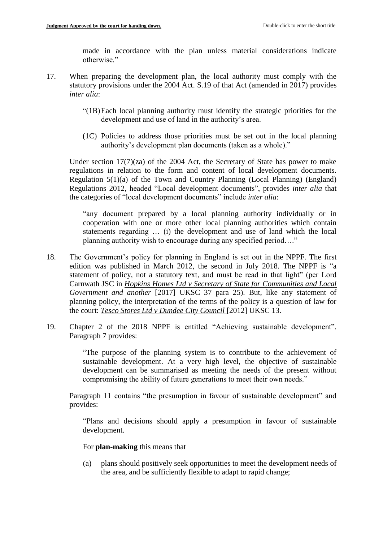made in accordance with the plan unless material considerations indicate otherwise."

- 17. When preparing the development plan, the local authority must comply with the statutory provisions under the 2004 Act. S.19 of that Act (amended in 2017) provides *inter alia*:
	- "(1B)Each local planning authority must identify the strategic priorities for the development and use of land in the authority's area.
	- (1C) Policies to address those priorities must be set out in the local planning authority's development plan documents (taken as a whole)."

Under section 17(7)(za) of the 2004 Act, the Secretary of State has power to make regulations in relation to the form and content of local development documents. Regulation 5(1)(a) of the Town and Country Planning (Local Planning) (England) Regulations 2012, headed "Local development documents", provides *inter alia* that the categories of "local development documents" include *inter alia*:

"any document prepared by a local planning authority individually or in cooperation with one or more other local planning authorities which contain statements regarding … (i) the development and use of land which the local planning authority wish to encourage during any specified period…."

- 18. The Government's policy for planning in England is set out in the NPPF. The first edition was published in March 2012, the second in July 2018. The NPPF is "a statement of policy, not a statutory text, and must be read in that light" (per Lord Carnwath JSC in *Hopkins Homes Ltd v Secretary of State for Communities and Local Government and another* [2017] UKSC 37 para 25). But, like any statement of planning policy, the interpretation of the terms of the policy is a question of law for the court: *Tesco Stores Ltd v Dundee City Council* [2012] UKSC 13.
- 19. Chapter 2 of the 2018 NPPF is entitled "Achieving sustainable development". Paragraph 7 provides:

"The purpose of the planning system is to contribute to the achievement of sustainable development. At a very high level, the objective of sustainable development can be summarised as meeting the needs of the present without compromising the ability of future generations to meet their own needs."

Paragraph 11 contains "the presumption in favour of sustainable development" and provides:

"Plans and decisions should apply a presumption in favour of sustainable development.

For **plan-making** this means that

(a) plans should positively seek opportunities to meet the development needs of the area, and be sufficiently flexible to adapt to rapid change;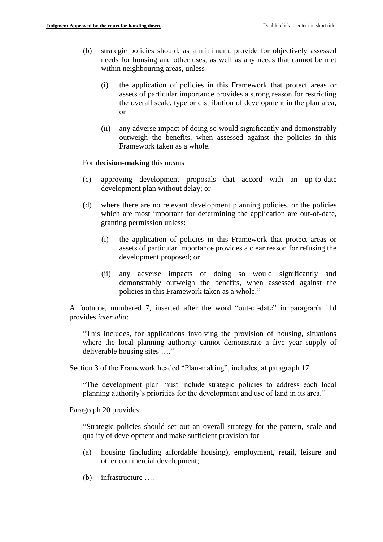- (b) strategic policies should, as a minimum, provide for objectively assessed needs for housing and other uses, as well as any needs that cannot be met within neighbouring areas, unless
	- (i) the application of policies in this Framework that protect areas or assets of particular importance provides a strong reason for restricting the overall scale, type or distribution of development in the plan area, or
	- (ii) any adverse impact of doing so would significantly and demonstrably outweigh the benefits, when assessed against the policies in this Framework taken as a whole.

#### For **decision-making** this means

- (c) approving development proposals that accord with an up-to-date development plan without delay; or
- (d) where there are no relevant development planning policies, or the policies which are most important for determining the application are out-of-date, granting permission unless:
	- (i) the application of policies in this Framework that protect areas or assets of particular importance provides a clear reason for refusing the development proposed; or
	- (ii) any adverse impacts of doing so would significantly and demonstrably outweigh the benefits, when assessed against the policies in this Framework taken as a whole."

A footnote, numbered 7, inserted after the word "out-of-date" in paragraph 11d provides *inter alia*:

"This includes, for applications involving the provision of housing, situations where the local planning authority cannot demonstrate a five year supply of deliverable housing sites …."

Section 3 of the Framework headed "Plan-making", includes, at paragraph 17:

"The development plan must include strategic policies to address each local planning authority's priorities for the development and use of land in its area."

Paragraph 20 provides:

"Strategic policies should set out an overall strategy for the pattern, scale and quality of development and make sufficient provision for

- (a) housing (including affordable housing), employment, retail, leisure and other commercial development;
- (b) infrastructure ….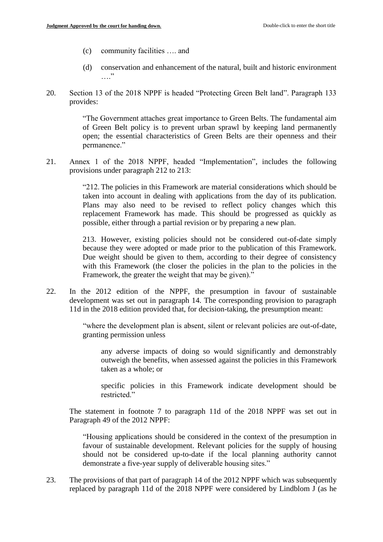- (c) community facilities …. and
- (d) conservation and enhancement of the natural, built and historic environment  $, , ,$
- 20. Section 13 of the 2018 NPPF is headed "Protecting Green Belt land". Paragraph 133 provides:

"The Government attaches great importance to Green Belts. The fundamental aim of Green Belt policy is to prevent urban sprawl by keeping land permanently open; the essential characteristics of Green Belts are their openness and their permanence."

21. Annex 1 of the 2018 NPPF, headed "Implementation", includes the following provisions under paragraph 212 to 213:

> "212. The policies in this Framework are material considerations which should be taken into account in dealing with applications from the day of its publication. Plans may also need to be revised to reflect policy changes which this replacement Framework has made. This should be progressed as quickly as possible, either through a partial revision or by preparing a new plan.

> 213. However, existing policies should not be considered out-of-date simply because they were adopted or made prior to the publication of this Framework. Due weight should be given to them, according to their degree of consistency with this Framework (the closer the policies in the plan to the policies in the Framework, the greater the weight that may be given)."

22. In the 2012 edition of the NPPF, the presumption in favour of sustainable development was set out in paragraph 14. The corresponding provision to paragraph 11d in the 2018 edition provided that, for decision-taking, the presumption meant:

> "where the development plan is absent, silent or relevant policies are out-of-date, granting permission unless

any adverse impacts of doing so would significantly and demonstrably outweigh the benefits, when assessed against the policies in this Framework taken as a whole; or

specific policies in this Framework indicate development should be restricted."

The statement in footnote 7 to paragraph 11d of the 2018 NPPF was set out in Paragraph 49 of the 2012 NPPF:

"Housing applications should be considered in the context of the presumption in favour of sustainable development. Relevant policies for the supply of housing should not be considered up-to-date if the local planning authority cannot demonstrate a five-year supply of deliverable housing sites."

23. The provisions of that part of paragraph 14 of the 2012 NPPF which was subsequently replaced by paragraph 11d of the 2018 NPPF were considered by Lindblom J (as he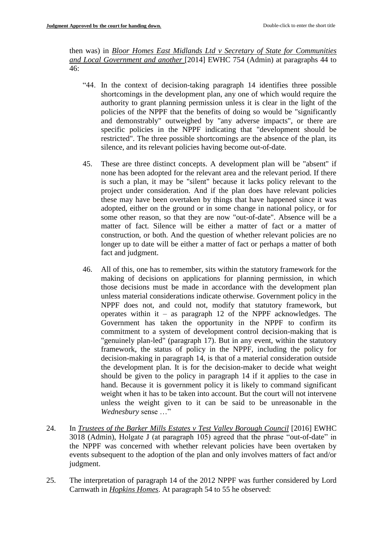then was) in *Bloor Homes East Midlands Ltd v Secretary of State for Communities and Local Government and another* [2014] EWHC 754 (Admin) at paragraphs 44 to  $46.$ 

- "44. In the context of decision-taking paragraph 14 identifies three possible shortcomings in the development plan, any one of which would require the authority to grant planning permission unless it is clear in the light of the policies of the NPPF that the benefits of doing so would be "significantly and demonstrably" outweighed by "any adverse impacts", or there are specific policies in the NPPF indicating that "development should be restricted". The three possible shortcomings are the absence of the plan, its silence, and its relevant policies having become out-of-date.
- 45. These are three distinct concepts. A development plan will be "absent" if none has been adopted for the relevant area and the relevant period. If there is such a plan, it may be "silent" because it lacks policy relevant to the project under consideration. And if the plan does have relevant policies these may have been overtaken by things that have happened since it was adopted, either on the ground or in some change in national policy, or for some other reason, so that they are now "out-of-date". Absence will be a matter of fact. Silence will be either a matter of fact or a matter of construction, or both. And the question of whether relevant policies are no longer up to date will be either a matter of fact or perhaps a matter of both fact and judgment.
- 46. All of this, one has to remember, sits within the statutory framework for the making of decisions on applications for planning permission, in which those decisions must be made in accordance with the development plan unless material considerations indicate otherwise. Government policy in the NPPF does not, and could not, modify that statutory framework, but operates within it – as paragraph 12 of the NPPF acknowledges. The Government has taken the opportunity in the NPPF to confirm its commitment to a system of development control decision-making that is "genuinely plan-led" (paragraph 17). But in any event, within the statutory framework, the status of policy in the NPPF, including the policy for decision-making in paragraph 14, is that of a material consideration outside the development plan. It is for the decision-maker to decide what weight should be given to the policy in paragraph 14 if it applies to the case in hand. Because it is government policy it is likely to command significant weight when it has to be taken into account. But the court will not intervene unless the weight given to it can be said to be unreasonable in the *Wednesbury* sense …"
- 24. In *Trustees of the Barker Mills Estates v Test Valley Borough Council* [2016] EWHC 3018 (Admin), Holgate J (at paragraph 105) agreed that the phrase "out-of-date" in the NPPF was concerned with whether relevant policies have been overtaken by events subsequent to the adoption of the plan and only involves matters of fact and/or judgment.
- 25. The interpretation of paragraph 14 of the 2012 NPPF was further considered by Lord Carnwath in *Hopkins Homes*. At paragraph 54 to 55 he observed: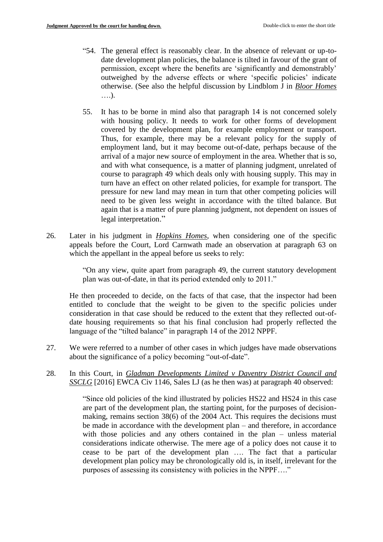- "54. The general effect is reasonably clear. In the absence of relevant or up-todate development plan policies, the balance is tilted in favour of the grant of permission, except where the benefits are 'significantly and demonstrably' outweighed by the adverse effects or where 'specific policies' indicate otherwise. (See also the helpful discussion by Lindblom J in *Bloor Homes* ….).
- 55. It has to be borne in mind also that paragraph 14 is not concerned solely with housing policy. It needs to work for other forms of development covered by the development plan, for example employment or transport. Thus, for example, there may be a relevant policy for the supply of employment land, but it may become out-of-date, perhaps because of the arrival of a major new source of employment in the area. Whether that is so, and with what consequence, is a matter of planning judgment, unrelated of course to paragraph 49 which deals only with housing supply. This may in turn have an effect on other related policies, for example for transport. The pressure for new land may mean in turn that other competing policies will need to be given less weight in accordance with the tilted balance. But again that is a matter of pure planning judgment, not dependent on issues of legal interpretation."
- 26. Later in his judgment in *Hopkins Homes*, when considering one of the specific appeals before the Court, Lord Carnwath made an observation at paragraph 63 on which the appellant in the appeal before us seeks to rely:

"On any view, quite apart from paragraph 49, the current statutory development plan was out-of-date, in that its period extended only to 2011."

He then proceeded to decide, on the facts of that case, that the inspector had been entitled to conclude that the weight to be given to the specific policies under consideration in that case should be reduced to the extent that they reflected out-ofdate housing requirements so that his final conclusion had properly reflected the language of the "tilted balance" in paragraph 14 of the 2012 NPPF.

- 27. We were referred to a number of other cases in which judges have made observations about the significance of a policy becoming "out-of-date".
- 28. In this Court, in *Gladman Developments Limited v Daventry District Council and SSCLG* [2016] EWCA Civ 1146, Sales LJ (as he then was) at paragraph 40 observed:

"Since old policies of the kind illustrated by policies HS22 and HS24 in this case are part of the development plan, the starting point, for the purposes of decisionmaking, remains section 38(6) of the 2004 Act. This requires the decisions must be made in accordance with the development plan – and therefore, in accordance with those policies and any others contained in the plan – unless material considerations indicate otherwise. The mere age of a policy does not cause it to cease to be part of the development plan …. The fact that a particular development plan policy may be chronologically old is, in itself, irrelevant for the purposes of assessing its consistency with policies in the NPPF…."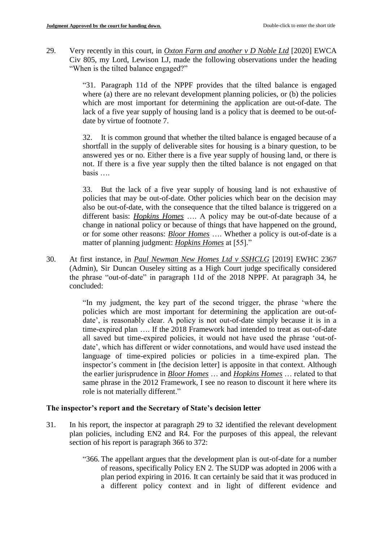29. Very recently in this court, in *Oxton Farm and another v D Noble Ltd* [2020] EWCA Civ 805, my Lord, Lewison LJ, made the following observations under the heading "When is the tilted balance engaged?"

> "31. Paragraph 11d of the NPPF provides that the tilted balance is engaged where (a) there are no relevant development planning policies, or (b) the policies which are most important for determining the application are out-of-date. The lack of a five year supply of housing land is a policy that is deemed to be out-ofdate by virtue of footnote 7.

> 32. It is common ground that whether the tilted balance is engaged because of a shortfall in the supply of deliverable sites for housing is a binary question, to be answered yes or no. Either there is a five year supply of housing land, or there is not. If there is a five year supply then the tilted balance is not engaged on that basis ….

> 33. But the lack of a five year supply of housing land is not exhaustive of policies that may be out-of-date. Other policies which bear on the decision may also be out-of-date, with the consequence that the tilted balance is triggered on a different basis: *Hopkins Homes* …. A policy may be out-of-date because of a change in national policy or because of things that have happened on the ground, or for some other reasons: *Bloor Homes* …. Whether a policy is out-of-date is a matter of planning judgment: *Hopkins Homes* at [55]."

30. At first instance, in *Paul Newman New Homes Ltd v SSHCLG* [2019] EWHC 2367 (Admin), Sir Duncan Ouseley sitting as a High Court judge specifically considered the phrase "out-of-date" in paragraph 11d of the 2018 NPPF. At paragraph 34, he concluded:

> "In my judgment, the key part of the second trigger, the phrase 'where the policies which are most important for determining the application are out-ofdate', is reasonably clear. A policy is not out-of-date simply because it is in a time-expired plan …. If the 2018 Framework had intended to treat as out-of-date all saved but time-expired policies, it would not have used the phrase 'out-ofdate', which has different or wider connotations, and would have used instead the language of time-expired policies or policies in a time-expired plan. The inspector's comment in [the decision letter] is apposite in that context. Although the earlier jurisprudence in *Bloor Homes* … and *Hopkins Homes* … related to that same phrase in the 2012 Framework, I see no reason to discount it here where its role is not materially different."

### **The inspector's report and the Secretary of State's decision letter**

- 31. In his report, the inspector at paragraph 29 to 32 identified the relevant development plan policies, including EN2 and R4. For the purposes of this appeal, the relevant section of his report is paragraph 366 to 372:
	- "366. The appellant argues that the development plan is out-of-date for a number of reasons, specifically Policy EN 2. The SUDP was adopted in 2006 with a plan period expiring in 2016. It can certainly be said that it was produced in a different policy context and in light of different evidence and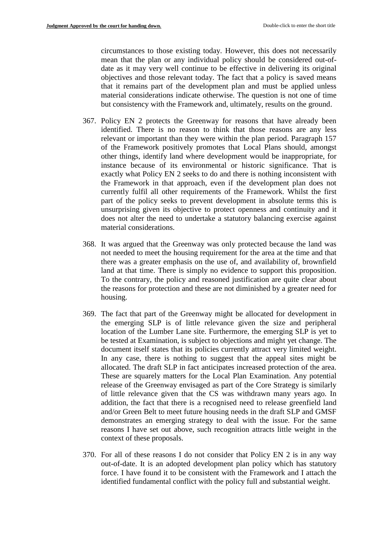circumstances to those existing today. However, this does not necessarily mean that the plan or any individual policy should be considered out-ofdate as it may very well continue to be effective in delivering its original objectives and those relevant today. The fact that a policy is saved means that it remains part of the development plan and must be applied unless material considerations indicate otherwise. The question is not one of time but consistency with the Framework and, ultimately, results on the ground.

- 367. Policy EN 2 protects the Greenway for reasons that have already been identified. There is no reason to think that those reasons are any less relevant or important than they were within the plan period. Paragraph 157 of the Framework positively promotes that Local Plans should, amongst other things, identify land where development would be inappropriate, for instance because of its environmental or historic significance. That is exactly what Policy EN 2 seeks to do and there is nothing inconsistent with the Framework in that approach, even if the development plan does not currently fulfil all other requirements of the Framework. Whilst the first part of the policy seeks to prevent development in absolute terms this is unsurprising given its objective to protect openness and continuity and it does not alter the need to undertake a statutory balancing exercise against material considerations.
- 368. It was argued that the Greenway was only protected because the land was not needed to meet the housing requirement for the area at the time and that there was a greater emphasis on the use of, and availability of, brownfield land at that time. There is simply no evidence to support this proposition. To the contrary, the policy and reasoned justification are quite clear about the reasons for protection and these are not diminished by a greater need for housing.
- 369. The fact that part of the Greenway might be allocated for development in the emerging SLP is of little relevance given the size and peripheral location of the Lumber Lane site. Furthermore, the emerging SLP is yet to be tested at Examination, is subject to objections and might yet change. The document itself states that its policies currently attract very limited weight. In any case, there is nothing to suggest that the appeal sites might be allocated. The draft SLP in fact anticipates increased protection of the area. These are squarely matters for the Local Plan Examination. Any potential release of the Greenway envisaged as part of the Core Strategy is similarly of little relevance given that the CS was withdrawn many years ago. In addition, the fact that there is a recognised need to release greenfield land and/or Green Belt to meet future housing needs in the draft SLP and GMSF demonstrates an emerging strategy to deal with the issue. For the same reasons I have set out above, such recognition attracts little weight in the context of these proposals.
- 370. For all of these reasons I do not consider that Policy EN 2 is in any way out-of-date. It is an adopted development plan policy which has statutory force. I have found it to be consistent with the Framework and I attach the identified fundamental conflict with the policy full and substantial weight.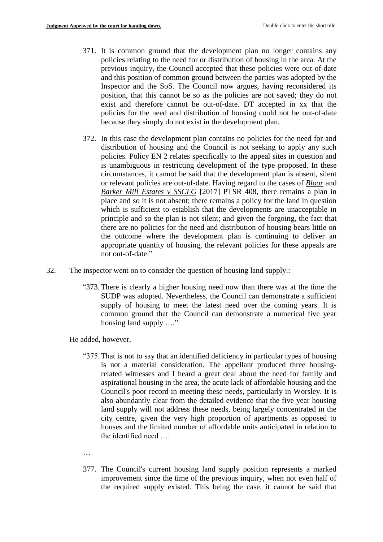- 371. It is common ground that the development plan no longer contains any policies relating to the need for or distribution of housing in the area. At the previous inquiry, the Council accepted that these policies were out-of-date and this position of common ground between the parties was adopted by the Inspector and the SoS. The Council now argues, having reconsidered its position, that this cannot be so as the policies are not saved; they do not exist and therefore cannot be out-of-date. DT accepted in xx that the policies for the need and distribution of housing could not be out-of-date because they simply do not exist in the development plan.
- 372. In this case the development plan contains no policies for the need for and distribution of housing and the Council is not seeking to apply any such policies. Policy EN 2 relates specifically to the appeal sites in question and is unambiguous in restricting development of the type proposed. In these circumstances, it cannot be said that the development plan is absent, silent or relevant policies are out-of-date. Having regard to the cases of *Bloor* and *Barker Mill Estates v SSCLG* [2017] PTSR 408, there remains a plan in place and so it is not absent; there remains a policy for the land in question which is sufficient to establish that the developments are unacceptable in principle and so the plan is not silent; and given the forgoing, the fact that there are no policies for the need and distribution of housing bears little on the outcome where the development plan is continuing to deliver an appropriate quantity of housing, the relevant policies for these appeals are not out-of-date."
- 32. The inspector went on to consider the question of housing land supply.:
	- "373. There is clearly a higher housing need now than there was at the time the SUDP was adopted. Nevertheless, the Council can demonstrate a sufficient supply of housing to meet the latest need over the coming years. It is common ground that the Council can demonstrate a numerical five year housing land supply …."

He added, however,

"375.That is not to say that an identified deficiency in particular types of housing is not a material consideration. The appellant produced three housingrelated witnesses and I heard a great deal about the need for family and aspirational housing in the area, the acute lack of affordable housing and the Council's poor record in meeting these needs, particularly in Worsley. It is also abundantly clear from the detailed evidence that the five year housing land supply will not address these needs, being largely concentrated in the city centre, given the very high proportion of apartments as opposed to houses and the limited number of affordable units anticipated in relation to the identified need

…

377. The Council's current housing land supply position represents a marked improvement since the time of the previous inquiry, when not even half of the required supply existed. This being the case, it cannot be said that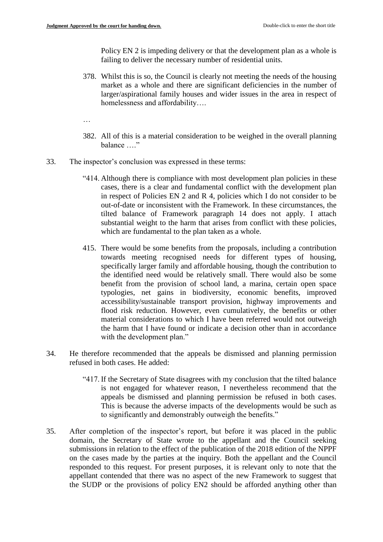Policy EN 2 is impeding delivery or that the development plan as a whole is failing to deliver the necessary number of residential units.

378. Whilst this is so, the Council is clearly not meeting the needs of the housing market as a whole and there are significant deficiencies in the number of larger/aspirational family houses and wider issues in the area in respect of homelessness and affordability….

…

- 382. All of this is a material consideration to be weighed in the overall planning balance …."
- 33. The inspector's conclusion was expressed in these terms:
	- "414. Although there is compliance with most development plan policies in these cases, there is a clear and fundamental conflict with the development plan in respect of Policies EN 2 and R 4, policies which I do not consider to be out-of-date or inconsistent with the Framework. In these circumstances, the tilted balance of Framework paragraph 14 does not apply. I attach substantial weight to the harm that arises from conflict with these policies, which are fundamental to the plan taken as a whole.
	- 415. There would be some benefits from the proposals, including a contribution towards meeting recognised needs for different types of housing, specifically larger family and affordable housing, though the contribution to the identified need would be relatively small. There would also be some benefit from the provision of school land, a marina, certain open space typologies, net gains in biodiversity, economic benefits, improved accessibility/sustainable transport provision, highway improvements and flood risk reduction. However, even cumulatively, the benefits or other material considerations to which I have been referred would not outweigh the harm that I have found or indicate a decision other than in accordance with the development plan."
- 34. He therefore recommended that the appeals be dismissed and planning permission refused in both cases. He added:
	- "417. If the Secretary of State disagrees with my conclusion that the tilted balance is not engaged for whatever reason, I nevertheless recommend that the appeals be dismissed and planning permission be refused in both cases. This is because the adverse impacts of the developments would be such as to significantly and demonstrably outweigh the benefits."
- 35. After completion of the inspector's report, but before it was placed in the public domain, the Secretary of State wrote to the appellant and the Council seeking submissions in relation to the effect of the publication of the 2018 edition of the NPPF on the cases made by the parties at the inquiry. Both the appellant and the Council responded to this request. For present purposes, it is relevant only to note that the appellant contended that there was no aspect of the new Framework to suggest that the SUDP or the provisions of policy EN2 should be afforded anything other than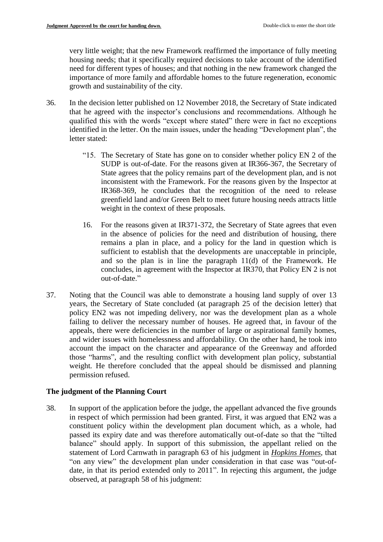very little weight; that the new Framework reaffirmed the importance of fully meeting housing needs; that it specifically required decisions to take account of the identified need for different types of houses; and that nothing in the new framework changed the importance of more family and affordable homes to the future regeneration, economic growth and sustainability of the city.

- 36. In the decision letter published on 12 November 2018, the Secretary of State indicated that he agreed with the inspector's conclusions and recommendations. Although he qualified this with the words "except where stated" there were in fact no exceptions identified in the letter. On the main issues, under the heading "Development plan", the letter stated:
	- "15. The Secretary of State has gone on to consider whether policy EN 2 of the SUDP is out-of-date. For the reasons given at IR366-367, the Secretary of State agrees that the policy remains part of the development plan, and is not inconsistent with the Framework. For the reasons given by the Inspector at IR368-369, he concludes that the recognition of the need to release greenfield land and/or Green Belt to meet future housing needs attracts little weight in the context of these proposals.
	- 16. For the reasons given at IR371-372, the Secretary of State agrees that even in the absence of policies for the need and distribution of housing, there remains a plan in place, and a policy for the land in question which is sufficient to establish that the developments are unacceptable in principle, and so the plan is in line the paragraph 11(d) of the Framework. He concludes, in agreement with the Inspector at IR370, that Policy EN 2 is not out-of-date."
- 37. Noting that the Council was able to demonstrate a housing land supply of over 13 years, the Secretary of State concluded (at paragraph 25 of the decision letter) that policy EN2 was not impeding delivery, nor was the development plan as a whole failing to deliver the necessary number of houses. He agreed that, in favour of the appeals, there were deficiencies in the number of large or aspirational family homes, and wider issues with homelessness and affordability. On the other hand, he took into account the impact on the character and appearance of the Greenway and afforded those "harms", and the resulting conflict with development plan policy, substantial weight*.* He therefore concluded that the appeal should be dismissed and planning permission refused.

# **The judgment of the Planning Court**

38. In support of the application before the judge, the appellant advanced the five grounds in respect of which permission had been granted. First, it was argued that EN2 was a constituent policy within the development plan document which, as a whole, had passed its expiry date and was therefore automatically out-of-date so that the "tilted balance" should apply. In support of this submission, the appellant relied on the statement of Lord Carnwath in paragraph 63 of his judgment in *Hopkins Homes*, that "on any view" the development plan under consideration in that case was "out-ofdate, in that its period extended only to 2011". In rejecting this argument, the judge observed, at paragraph 58 of his judgment: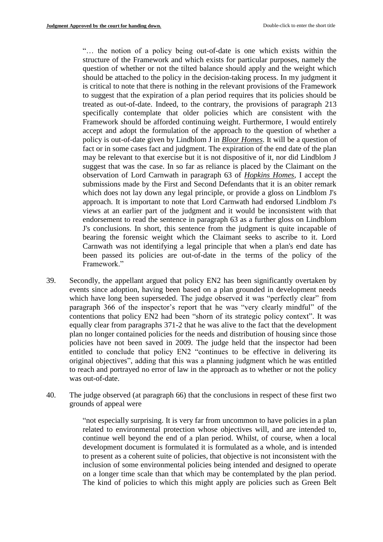"… the notion of a policy being out-of-date is one which exists within the structure of the Framework and which exists for particular purposes, namely the question of whether or not the tilted balance should apply and the weight which should be attached to the policy in the decision-taking process. In my judgment it is critical to note that there is nothing in the relevant provisions of the Framework to suggest that the expiration of a plan period requires that its policies should be treated as out-of-date. Indeed, to the contrary, the provisions of paragraph 213 specifically contemplate that older policies which are consistent with the Framework should be afforded continuing weight. Furthermore, I would entirely accept and adopt the formulation of the approach to the question of whether a policy is out-of-date given by Lindblom J in *Bloor Homes*. It will be a question of fact or in some cases fact and judgment. The expiration of the end date of the plan may be relevant to that exercise but it is not dispositive of it, nor did Lindblom J suggest that was the case. In so far as reliance is placed by the Claimant on the observation of Lord Carnwath in paragraph 63 of *Hopkins Homes*, I accept the submissions made by the First and Second Defendants that it is an obiter remark which does not lay down any legal principle, or provide a gloss on Lindblom J's approach. It is important to note that Lord Carnwath had endorsed Lindblom J's views at an earlier part of the judgment and it would be inconsistent with that endorsement to read the sentence in paragraph 63 as a further gloss on Lindblom J's conclusions. In short, this sentence from the judgment is quite incapable of bearing the forensic weight which the Claimant seeks to ascribe to it. Lord Carnwath was not identifying a legal principle that when a plan's end date has been passed its policies are out-of-date in the terms of the policy of the Framework."

- 39. Secondly, the appellant argued that policy EN2 has been significantly overtaken by events since adoption, having been based on a plan grounded in development needs which have long been superseded. The judge observed it was "perfectly clear" from paragraph 366 of the inspector's report that he was "very clearly mindful" of the contentions that policy EN2 had been "shorn of its strategic policy context". It was equally clear from paragraphs 371-2 that he was alive to the fact that the development plan no longer contained policies for the needs and distribution of housing since those policies have not been saved in 2009. The judge held that the inspector had been entitled to conclude that policy EN2 "continues to be effective in delivering its original objectives", adding that this was a planning judgment which he was entitled to reach and portrayed no error of law in the approach as to whether or not the policy was out-of-date.
- 40. The judge observed (at paragraph 66) that the conclusions in respect of these first two grounds of appeal were

"not especially surprising. It is very far from uncommon to have policies in a plan related to environmental protection whose objectives will, and are intended to, continue well beyond the end of a plan period. Whilst, of course, when a local development document is formulated it is formulated as a whole, and is intended to present as a coherent suite of policies, that objective is not inconsistent with the inclusion of some environmental policies being intended and designed to operate on a longer time scale than that which may be contemplated by the plan period. The kind of policies to which this might apply are policies such as Green Belt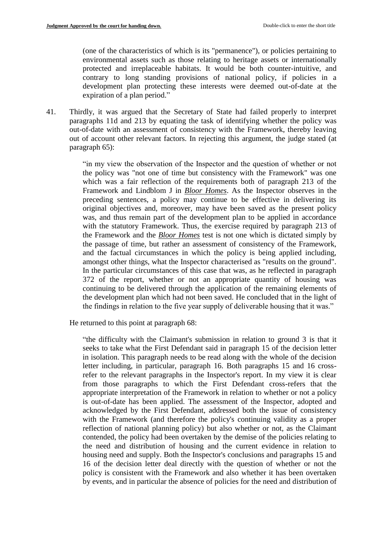(one of the characteristics of which is its "permanence"), or policies pertaining to environmental assets such as those relating to heritage assets or internationally protected and irreplaceable habitats. It would be both counter-intuitive, and contrary to long standing provisions of national policy, if policies in a development plan protecting these interests were deemed out-of-date at the expiration of a plan period."

41. Thirdly, it was argued that the Secretary of State had failed properly to interpret paragraphs 11d and 213 by equating the task of identifying whether the policy was out-of-date with an assessment of consistency with the Framework, thereby leaving out of account other relevant factors. In rejecting this argument, the judge stated (at paragraph 65):

> "in my view the observation of the Inspector and the question of whether or not the policy was "not one of time but consistency with the Framework" was one which was a fair reflection of the requirements both of paragraph 213 of the Framework and Lindblom J in *Bloor Homes*. As the Inspector observes in the preceding sentences, a policy may continue to be effective in delivering its original objectives and, moreover, may have been saved as the present policy was, and thus remain part of the development plan to be applied in accordance with the statutory Framework. Thus, the exercise required by paragraph 213 of the Framework and the *Bloor Homes* test is not one which is dictated simply by the passage of time, but rather an assessment of consistency of the Framework, and the factual circumstances in which the policy is being applied including, amongst other things, what the Inspector characterised as "results on the ground". In the particular circumstances of this case that was, as he reflected in paragraph 372 of the report, whether or not an appropriate quantity of housing was continuing to be delivered through the application of the remaining elements of the development plan which had not been saved. He concluded that in the light of the findings in relation to the five year supply of deliverable housing that it was."

He returned to this point at paragraph 68:

"the difficulty with the Claimant's submission in relation to ground 3 is that it seeks to take what the First Defendant said in paragraph 15 of the decision letter in isolation. This paragraph needs to be read along with the whole of the decision letter including, in particular, paragraph 16. Both paragraphs 15 and 16 crossrefer to the relevant paragraphs in the Inspector's report. In my view it is clear from those paragraphs to which the First Defendant cross-refers that the appropriate interpretation of the Framework in relation to whether or not a policy is out-of-date has been applied. The assessment of the Inspector, adopted and acknowledged by the First Defendant, addressed both the issue of consistency with the Framework (and therefore the policy's continuing validity as a proper reflection of national planning policy) but also whether or not, as the Claimant contended, the policy had been overtaken by the demise of the policies relating to the need and distribution of housing and the current evidence in relation to housing need and supply. Both the Inspector's conclusions and paragraphs 15 and 16 of the decision letter deal directly with the question of whether or not the policy is consistent with the Framework and also whether it has been overtaken by events, and in particular the absence of policies for the need and distribution of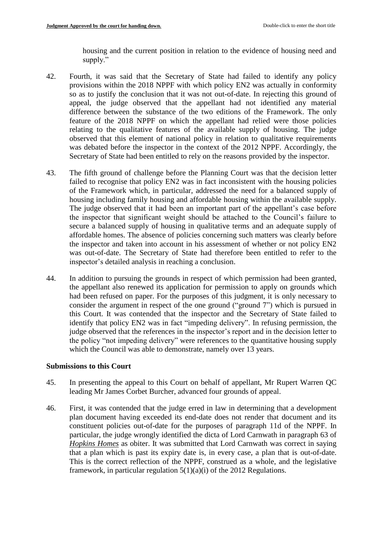housing and the current position in relation to the evidence of housing need and supply."

- 42. Fourth, it was said that the Secretary of State had failed to identify any policy provisions within the 2018 NPPF with which policy EN2 was actually in conformity so as to justify the conclusion that it was not out-of-date. In rejecting this ground of appeal, the judge observed that the appellant had not identified any material difference between the substance of the two editions of the Framework. The only feature of the 2018 NPPF on which the appellant had relied were those policies relating to the qualitative features of the available supply of housing. The judge observed that this element of national policy in relation to qualitative requirements was debated before the inspector in the context of the 2012 NPPF. Accordingly, the Secretary of State had been entitled to rely on the reasons provided by the inspector.
- 43. The fifth ground of challenge before the Planning Court was that the decision letter failed to recognise that policy EN2 was in fact inconsistent with the housing policies of the Framework which, in particular, addressed the need for a balanced supply of housing including family housing and affordable housing within the available supply. The judge observed that it had been an important part of the appellant's case before the inspector that significant weight should be attached to the Council's failure to secure a balanced supply of housing in qualitative terms and an adequate supply of affordable homes. The absence of policies concerning such matters was clearly before the inspector and taken into account in his assessment of whether or not policy EN2 was out-of-date. The Secretary of State had therefore been entitled to refer to the inspector's detailed analysis in reaching a conclusion.
- 44. In addition to pursuing the grounds in respect of which permission had been granted, the appellant also renewed its application for permission to apply on grounds which had been refused on paper. For the purposes of this judgment, it is only necessary to consider the argument in respect of the one ground ("ground 7") which is pursued in this Court. It was contended that the inspector and the Secretary of State failed to identify that policy EN2 was in fact "impeding delivery". In refusing permission, the judge observed that the references in the inspector's report and in the decision letter to the policy "not impeding delivery" were references to the quantitative housing supply which the Council was able to demonstrate, namely over 13 years.

#### **Submissions to this Court**

- 45. In presenting the appeal to this Court on behalf of appellant, Mr Rupert Warren QC leading Mr James Corbet Burcher, advanced four grounds of appeal.
- 46. First, it was contended that the judge erred in law in determining that a development plan document having exceeded its end-date does not render that document and its constituent policies out-of-date for the purposes of paragraph 11d of the NPPF. In particular, the judge wrongly identified the dicta of Lord Carnwath in paragraph 63 of *Hopkins Homes* as obiter. It was submitted that Lord Carnwath was correct in saying that a plan which is past its expiry date is, in every case, a plan that is out-of-date. This is the correct reflection of the NPPF, construed as a whole, and the legislative framework, in particular regulation  $5(1)(a)(i)$  of the 2012 Regulations.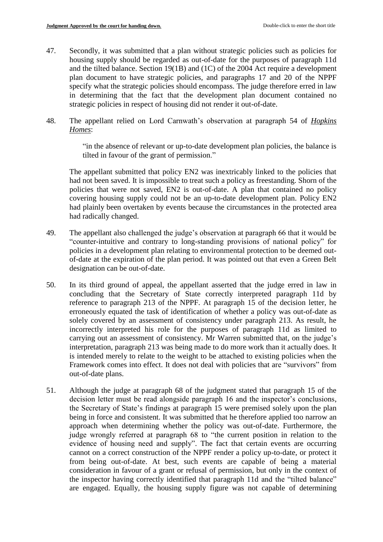- 47. Secondly, it was submitted that a plan without strategic policies such as policies for housing supply should be regarded as out-of-date for the purposes of paragraph 11d and the tilted balance. Section 19(1B) and (1C) of the 2004 Act require a development plan document to have strategic policies, and paragraphs 17 and 20 of the NPPF specify what the strategic policies should encompass. The judge therefore erred in law in determining that the fact that the development plan document contained no strategic policies in respect of housing did not render it out-of-date.
- 48. The appellant relied on Lord Carnwath's observation at paragraph 54 of *Hopkins Homes*:

"in the absence of relevant or up-to-date development plan policies, the balance is tilted in favour of the grant of permission."

The appellant submitted that policy EN2 was inextricably linked to the policies that had not been saved. It is impossible to treat such a policy as freestanding. Shorn of the policies that were not saved, EN2 is out-of-date. A plan that contained no policy covering housing supply could not be an up-to-date development plan. Policy EN2 had plainly been overtaken by events because the circumstances in the protected area had radically changed.

- 49. The appellant also challenged the judge's observation at paragraph 66 that it would be "counter-intuitive and contrary to long-standing provisions of national policy" for policies in a development plan relating to environmental protection to be deemed outof-date at the expiration of the plan period. It was pointed out that even a Green Belt designation can be out-of-date.
- 50. In its third ground of appeal, the appellant asserted that the judge erred in law in concluding that the Secretary of State correctly interpreted paragraph 11d by reference to paragraph 213 of the NPPF. At paragraph 15 of the decision letter, he erroneously equated the task of identification of whether a policy was out-of-date as solely covered by an assessment of consistency under paragraph 213. As result, he incorrectly interpreted his role for the purposes of paragraph 11d as limited to carrying out an assessment of consistency. Mr Warren submitted that, on the judge's interpretation, paragraph 213 was being made to do more work than it actually does. It is intended merely to relate to the weight to be attached to existing policies when the Framework comes into effect. It does not deal with policies that are "survivors" from out-of-date plans.
- 51. Although the judge at paragraph 68 of the judgment stated that paragraph 15 of the decision letter must be read alongside paragraph 16 and the inspector's conclusions, the Secretary of State's findings at paragraph 15 were premised solely upon the plan being in force and consistent. It was submitted that he therefore applied too narrow an approach when determining whether the policy was out-of-date. Furthermore, the judge wrongly referred at paragraph 68 to "the current position in relation to the evidence of housing need and supply". The fact that certain events are occurring cannot on a correct construction of the NPPF render a policy up-to-date, or protect it from being out-of-date. At best, such events are capable of being a material consideration in favour of a grant or refusal of permission, but only in the context of the inspector having correctly identified that paragraph 11d and the "tilted balance" are engaged. Equally, the housing supply figure was not capable of determining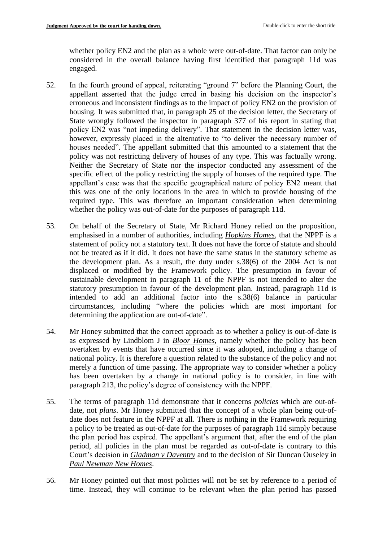whether policy EN2 and the plan as a whole were out-of-date. That factor can only be considered in the overall balance having first identified that paragraph 11d was engaged.

- 52. In the fourth ground of appeal, reiterating "ground 7" before the Planning Court, the appellant asserted that the judge erred in basing his decision on the inspector's erroneous and inconsistent findings as to the impact of policy EN2 on the provision of housing. It was submitted that, in paragraph 25 of the decision letter, the Secretary of State wrongly followed the inspector in paragraph 377 of his report in stating that policy EN2 was "not impeding delivery". That statement in the decision letter was, however, expressly placed in the alternative to "to deliver the necessary number of houses needed". The appellant submitted that this amounted to a statement that the policy was not restricting delivery of houses of any type. This was factually wrong. Neither the Secretary of State nor the inspector conducted any assessment of the specific effect of the policy restricting the supply of houses of the required type. The appellant's case was that the specific geographical nature of policy EN2 meant that this was one of the only locations in the area in which to provide housing of the required type. This was therefore an important consideration when determining whether the policy was out-of-date for the purposes of paragraph 11d.
- 53. On behalf of the Secretary of State, Mr Richard Honey relied on the proposition, emphasised in a number of authorities, including *Hopkins Homes*, that the NPPF is a statement of policy not a statutory text. It does not have the force of statute and should not be treated as if it did. It does not have the same status in the statutory scheme as the development plan. As a result, the duty under s.38(6) of the 2004 Act is not displaced or modified by the Framework policy. The presumption in favour of sustainable development in paragraph 11 of the NPPF is not intended to alter the statutory presumption in favour of the development plan. Instead, paragraph 11d is intended to add an additional factor into the s.38(6) balance in particular circumstances, including "where the policies which are most important for determining the application are out-of-date".
- 54. Mr Honey submitted that the correct approach as to whether a policy is out-of-date is as expressed by Lindblom J in *Bloor Homes*, namely whether the policy has been overtaken by events that have occurred since it was adopted, including a change of national policy. It is therefore a question related to the substance of the policy and not merely a function of time passing. The appropriate way to consider whether a policy has been overtaken by a change in national policy is to consider, in line with paragraph 213, the policy's degree of consistency with the NPPF.
- 55. The terms of paragraph 11d demonstrate that it concerns *policies* which are out-ofdate, not *plans*. Mr Honey submitted that the concept of a whole plan being out-ofdate does not feature in the NPPF at all. There is nothing in the Framework requiring a policy to be treated as out-of-date for the purposes of paragraph 11d simply because the plan period has expired. The appellant's argument that, after the end of the plan period, all policies in the plan must be regarded as out-of-date is contrary to this Court's decision in *Gladman v Daventry* and to the decision of Sir Duncan Ouseley in *Paul Newman New Homes*.
- 56. Mr Honey pointed out that most policies will not be set by reference to a period of time. Instead, they will continue to be relevant when the plan period has passed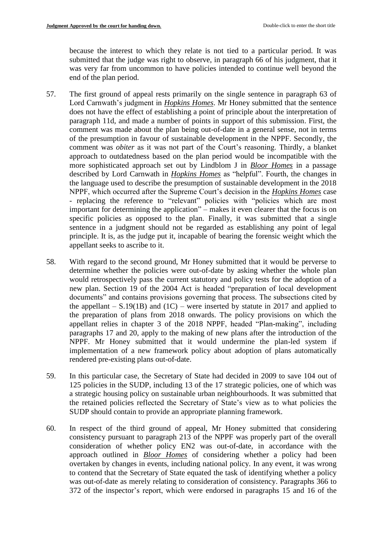because the interest to which they relate is not tied to a particular period. It was submitted that the judge was right to observe, in paragraph 66 of his judgment, that it was very far from uncommon to have policies intended to continue well beyond the end of the plan period.

- 57. The first ground of appeal rests primarily on the single sentence in paragraph 63 of Lord Carnwath's judgment in *Hopkins Homes*. Mr Honey submitted that the sentence does not have the effect of establishing a point of principle about the interpretation of paragraph 11d, and made a number of points in support of this submission. First, the comment was made about the plan being out-of-date in a general sense, not in terms of the presumption in favour of sustainable development in the NPPF. Secondly, the comment was *obiter* as it was not part of the Court's reasoning. Thirdly, a blanket approach to outdatedness based on the plan period would be incompatible with the more sophisticated approach set out by Lindblom J in *Bloor Homes* in a passage described by Lord Carnwath in *Hopkins Homes* as "helpful". Fourth, the changes in the language used to describe the presumption of sustainable development in the 2018 NPPF, which occurred after the Supreme Court's decision in the *Hopkins Homes* case - replacing the reference to "relevant" policies with "policies which are most important for determining the application" – makes it even clearer that the focus is on specific policies as opposed to the plan. Finally, it was submitted that a single sentence in a judgment should not be regarded as establishing any point of legal principle. It is, as the judge put it, incapable of bearing the forensic weight which the appellant seeks to ascribe to it.
- 58. With regard to the second ground, Mr Honey submitted that it would be perverse to determine whether the policies were out-of-date by asking whether the whole plan would retrospectively pass the current statutory and policy tests for the adoption of a new plan. Section 19 of the 2004 Act is headed "preparation of local development documents" and contains provisions governing that process. The subsections cited by the appellant  $- S.19(1B)$  and  $(1C)$  – were inserted by statute in 2017 and applied to the preparation of plans from 2018 onwards. The policy provisions on which the appellant relies in chapter 3 of the 2018 NPPF, headed "Plan-making", including paragraphs 17 and 20, apply to the making of new plans after the introduction of the NPPF. Mr Honey submitted that it would undermine the plan-led system if implementation of a new framework policy about adoption of plans automatically rendered pre-existing plans out-of-date.
- 59. In this particular case, the Secretary of State had decided in 2009 to save 104 out of 125 policies in the SUDP, including 13 of the 17 strategic policies, one of which was a strategic housing policy on sustainable urban neighbourhoods. It was submitted that the retained policies reflected the Secretary of State's view as to what policies the SUDP should contain to provide an appropriate planning framework.
- 60. In respect of the third ground of appeal, Mr Honey submitted that considering consistency pursuant to paragraph 213 of the NPPF was properly part of the overall consideration of whether policy EN2 was out-of-date, in accordance with the approach outlined in *Bloor Homes* of considering whether a policy had been overtaken by changes in events, including national policy. In any event, it was wrong to contend that the Secretary of State equated the task of identifying whether a policy was out-of-date as merely relating to consideration of consistency. Paragraphs 366 to 372 of the inspector's report, which were endorsed in paragraphs 15 and 16 of the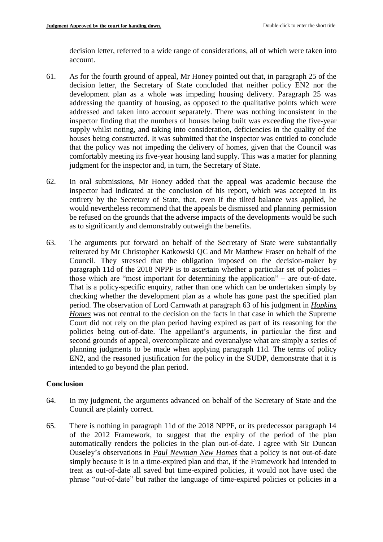decision letter, referred to a wide range of considerations, all of which were taken into account.

- 61. As for the fourth ground of appeal, Mr Honey pointed out that, in paragraph 25 of the decision letter, the Secretary of State concluded that neither policy EN2 nor the development plan as a whole was impeding housing delivery. Paragraph 25 was addressing the quantity of housing, as opposed to the qualitative points which were addressed and taken into account separately. There was nothing inconsistent in the inspector finding that the numbers of houses being built was exceeding the five-year supply whilst noting, and taking into consideration, deficiencies in the quality of the houses being constructed. It was submitted that the inspector was entitled to conclude that the policy was not impeding the delivery of homes, given that the Council was comfortably meeting its five-year housing land supply. This was a matter for planning judgment for the inspector and, in turn, the Secretary of State.
- 62. In oral submissions, Mr Honey added that the appeal was academic because the inspector had indicated at the conclusion of his report, which was accepted in its entirety by the Secretary of State, that, even if the tilted balance was applied, he would nevertheless recommend that the appeals be dismissed and planning permission be refused on the grounds that the adverse impacts of the developments would be such as to significantly and demonstrably outweigh the benefits.
- 63. The arguments put forward on behalf of the Secretary of State were substantially reiterated by Mr Christopher Katkowski QC and Mr Matthew Fraser on behalf of the Council. They stressed that the obligation imposed on the decision-maker by paragraph 11d of the 2018 NPPF is to ascertain whether a particular set of policies – those which are "most important for determining the application" – are out-of-date. That is a policy-specific enquiry, rather than one which can be undertaken simply by checking whether the development plan as a whole has gone past the specified plan period. The observation of Lord Carnwath at paragraph 63 of his judgment in *Hopkins Homes* was not central to the decision on the facts in that case in which the Supreme Court did not rely on the plan period having expired as part of its reasoning for the policies being out-of-date. The appellant's arguments, in particular the first and second grounds of appeal, overcomplicate and overanalyse what are simply a series of planning judgments to be made when applying paragraph 11d. The terms of policy EN2, and the reasoned justification for the policy in the SUDP, demonstrate that it is intended to go beyond the plan period.

# **Conclusion**

- 64. In my judgment, the arguments advanced on behalf of the Secretary of State and the Council are plainly correct.
- 65. There is nothing in paragraph 11d of the 2018 NPPF, or its predecessor paragraph 14 of the 2012 Framework, to suggest that the expiry of the period of the plan automatically renders the policies in the plan out-of-date. I agree with Sir Duncan Ouseley's observations in *Paul Newman New Homes* that a policy is not out-of-date simply because it is in a time-expired plan and that, if the Framework had intended to treat as out-of-date all saved but time-expired policies, it would not have used the phrase "out-of-date" but rather the language of time-expired policies or policies in a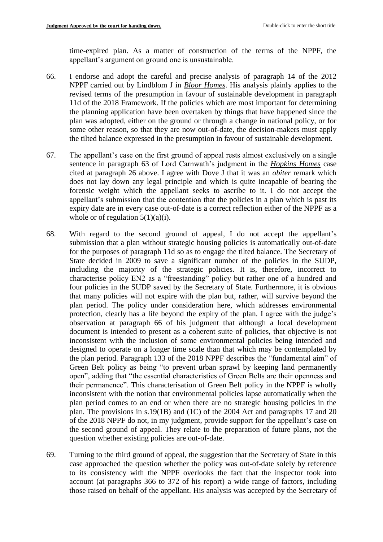time-expired plan. As a matter of construction of the terms of the NPPF, the appellant's argument on ground one is unsustainable.

- 66. I endorse and adopt the careful and precise analysis of paragraph 14 of the 2012 NPPF carried out by Lindblom J in *Bloor Homes*. His analysis plainly applies to the revised terms of the presumption in favour of sustainable development in paragraph 11d of the 2018 Framework. If the policies which are most important for determining the planning application have been overtaken by things that have happened since the plan was adopted, either on the ground or through a change in national policy, or for some other reason, so that they are now out-of-date, the decision-makers must apply the tilted balance expressed in the presumption in favour of sustainable development.
- 67. The appellant's case on the first ground of appeal rests almost exclusively on a single sentence in paragraph 63 of Lord Carnwath's judgment in the *Hopkins Homes* case cited at paragraph 26 above. I agree with Dove J that it was an *obiter* remark which does not lay down any legal principle and which is quite incapable of bearing the forensic weight which the appellant seeks to ascribe to it. I do not accept the appellant's submission that the contention that the policies in a plan which is past its expiry date are in every case out-of-date is a correct reflection either of the NPPF as a whole or of regulation  $5(1)(a)(i)$ .
- 68. With regard to the second ground of appeal, I do not accept the appellant's submission that a plan without strategic housing policies is automatically out-of-date for the purposes of paragraph 11d so as to engage the tilted balance. The Secretary of State decided in 2009 to save a significant number of the policies in the SUDP, including the majority of the strategic policies. It is, therefore, incorrect to characterise policy EN2 as a "freestanding" policy but rather one of a hundred and four policies in the SUDP saved by the Secretary of State. Furthermore, it is obvious that many policies will not expire with the plan but, rather, will survive beyond the plan period. The policy under consideration here, which addresses environmental protection, clearly has a life beyond the expiry of the plan. I agree with the judge's observation at paragraph 66 of his judgment that although a local development document is intended to present as a coherent suite of policies, that objective is not inconsistent with the inclusion of some environmental policies being intended and designed to operate on a longer time scale than that which may be contemplated by the plan period. Paragraph 133 of the 2018 NPPF describes the "fundamental aim" of Green Belt policy as being "to prevent urban sprawl by keeping land permanently open", adding that "the essential characteristics of Green Belts are their openness and their permanence". This characterisation of Green Belt policy in the NPPF is wholly inconsistent with the notion that environmental policies lapse automatically when the plan period comes to an end or when there are no strategic housing policies in the plan. The provisions in s.19(1B) and (1C) of the 2004 Act and paragraphs 17 and 20 of the 2018 NPPF do not, in my judgment, provide support for the appellant's case on the second ground of appeal. They relate to the preparation of future plans, not the question whether existing policies are out-of-date.
- 69. Turning to the third ground of appeal, the suggestion that the Secretary of State in this case approached the question whether the policy was out-of-date solely by reference to its consistency with the NPPF overlooks the fact that the inspector took into account (at paragraphs 366 to 372 of his report) a wide range of factors, including those raised on behalf of the appellant. His analysis was accepted by the Secretary of